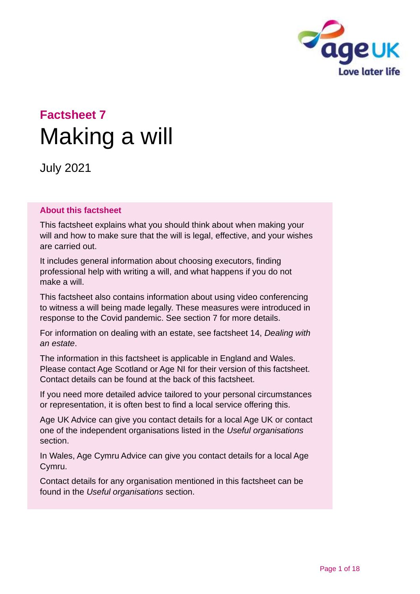

# **Factsheet 7** Making a will

July 2021

#### **About this factsheet**

This factsheet explains what you should think about when making your will and how to make sure that the will is legal, effective, and your wishes are carried out.

It includes general information about choosing executors, finding professional help with writing a will, and what happens if you do not make a will.

This factsheet also contains information about using video conferencing to witness a will being made legally. These measures were introduced in response to the Covid pandemic. See [section 7](#page-8-0) for more details.

For information on dealing with an estate, see factsheet 14, *[Dealing with](https://www.ageuk.org.uk/globalassets/age-uk/documents/factsheets/fs14_dealing_with_an_estate_fcs.pdf?dtrk=true)  [an estate](https://www.ageuk.org.uk/globalassets/age-uk/documents/factsheets/fs14_dealing_with_an_estate_fcs.pdf?dtrk=true)*.

The information in this factsheet is applicable in England and Wales. Please contact [Age Scotland](#page-16-0) or [Age NI](#page-16-1) for their version of this factsheet. Contact details can be found at the back of this factsheet.

If you need more detailed advice tailored to your personal circumstances or representation, it is often best to find a local service offering this.

[Age UK Advice](#page-16-2) can give you contact details for a local Age UK or contact one of the independent organisations listed in the *[Useful organisations](#page-14-0)* section.

In Wales, [Age Cymru Advice](#page-16-3) can give you contact details for a local Age Cymru.

Contact details for any organisation mentioned in this factsheet can be found in the *[Useful organisations](#page-14-0)* section.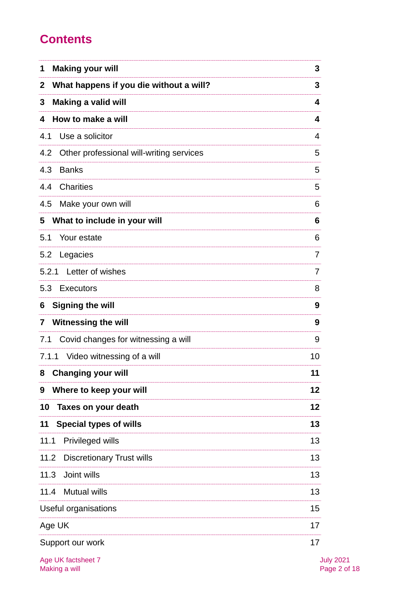# **Contents**

| <b>Making your will</b><br>1                            | 3  |
|---------------------------------------------------------|----|
| What happens if you die without a will?<br>$\mathbf{2}$ | 3  |
| Making a valid will<br>3                                | 4  |
| How to make a will<br>4                                 | 4  |
| 4.1<br>Use a solicitor                                  | 4  |
| Other professional will-writing services<br>4.2         | 5  |
| 4.3<br><b>Banks</b>                                     | 5  |
| <b>Charities</b><br>4.4                                 | 5  |
| 4.5<br>Make your own will                               | 6  |
| What to include in your will<br>5                       | 6  |
| Your estate<br>5.1                                      | 6  |
| Legacies<br>5.2                                         | 7  |
| 5.2.1 Letter of wishes                                  | 7  |
| 5.3 Executors                                           | 8  |
| <b>Signing the will</b><br>6                            | 9  |
| <b>Witnessing the will</b><br>7                         | 9  |
| Covid changes for witnessing a will<br>7.1              | 9  |
| 7.1.1 Video witnessing of a will                        | 10 |
| <b>Changing your will</b><br>8                          | 11 |
| Where to keep your will<br>9                            | 12 |
| 10<br><b>Taxes on your death</b>                        | 12 |
| <b>Special types of wills</b><br>11                     | 13 |
| Privileged wills<br>11.1                                | 13 |
| <b>Discretionary Trust wills</b><br>11.2                | 13 |
| Joint wills<br>11.3                                     | 13 |
| <b>Mutual wills</b><br>11.4                             | 13 |
| Useful organisations                                    | 15 |
| Age UK                                                  | 17 |
| Support our work                                        | 17 |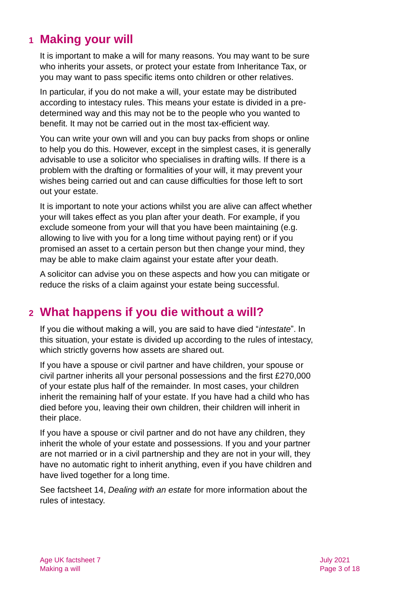# <span id="page-2-0"></span>**1 Making your will**

It is important to make a will for many reasons. You may want to be sure who inherits your assets, or protect your estate from Inheritance Tax, or you may want to pass specific items onto children or other relatives.

In particular, if you do not make a will, your estate may be distributed according to intestacy rules. This means your estate is divided in a predetermined way and this may not be to the people who you wanted to benefit. It may not be carried out in the most tax-efficient way.

You can write your own will and you can buy packs from shops or online to help you do this. However, except in the simplest cases, it is generally advisable to use a solicitor who specialises in drafting wills. If there is a problem with the drafting or formalities of your will, it may prevent your wishes being carried out and can cause difficulties for those left to sort out your estate.

It is important to note your actions whilst you are alive can affect whether your will takes effect as you plan after your death. For example, if you exclude someone from your will that you have been maintaining (e.g. allowing to live with you for a long time without paying rent) or if you promised an asset to a certain person but then change your mind, they may be able to make claim against your estate after your death.

A solicitor can advise you on these aspects and how you can mitigate or reduce the risks of a claim against your estate being successful.

# <span id="page-2-1"></span>**2 What happens if you die without a will?**

If you die without making a will, you are said to have died "*intestate*". In this situation, your estate is divided up according to the rules of intestacy, which strictly governs how assets are shared out.

If you have a spouse or civil partner and have children, your spouse or civil partner inherits all your personal possessions and the first £270,000 of your estate plus half of the remainder. In most cases, your children inherit the remaining half of your estate. If you have had a child who has died before you, leaving their own children, their children will inherit in their place.

If you have a spouse or civil partner and do not have any children, they inherit the whole of your estate and possessions. If you and your partner are not married or in a civil partnership and they are not in your will, they have no automatic right to inherit anything, even if you have children and have lived together for a long time.

See factsheet 14, *[Dealing with an estate](https://www.ageuk.org.uk/globalassets/age-uk/documents/factsheets/fs14_dealing_with_an_estate_fcs.pdf?dtrk=true)* for more information about the rules of intestacy.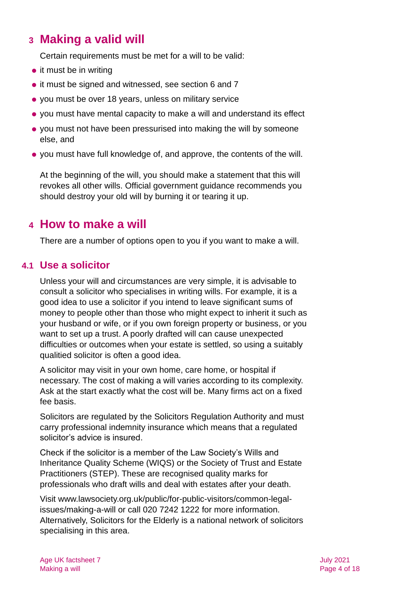# <span id="page-3-0"></span>**3 Making a valid will**

Certain requirements must be met for a will to be valid:

- it must be in writing
- it must be signed and witnessed, see [section 6](#page-8-1) [and 7](#page-8-0)
- you must be over 18 years, unless on military service
- you must have mental capacity to make a will and understand its effect
- you must not have been pressurised into making the will by someone else, and
- ⚫ you must have full knowledge of, and approve, the contents of the will.

At the beginning of the will, you should make a statement that this will revokes all other wills. Official government guidance recommends you should destroy your old will by burning it or tearing it up.

# <span id="page-3-1"></span>**4 How to make a will**

There are a number of options open to you if you want to make a will.

### **4.1 Use a solicitor**

Unless your will and circumstances are very simple, it is advisable to consult a solicitor who specialises in writing wills. For example, it is a good idea to use a solicitor if you intend to leave significant sums of money to people other than those who might expect to inherit it such as your husband or wife, or if you own foreign property or business, or you want to set up a trust. A poorly drafted will can cause unexpected difficulties or outcomes when your estate is settled, so using a suitably qualitied solicitor is often a good idea.

A solicitor may visit in your own home, care home, or hospital if necessary. The cost of making a will varies according to its complexity. Ask at the start exactly what the cost will be. Many firms act on a fixed fee basis.

Solicitors are regulated by the Solicitors Regulation Authority and must carry professional indemnity insurance which means that a regulated solicitor's advice is insured.

Check if the solicitor is a member of the Law Society's Wills and Inheritance Quality Scheme (WIQS) or the Society of Trust and Estate Practitioners (STEP). These are recognised quality marks for professionals who draft wills and deal with estates after your death.

Visit [www.lawsociety.org.uk/public/for-public-visitors/common-legal](http://www.lawsociety.org.uk/public/for-public-visitors/common-legal-issues/making-a-will)[issues/making-a-will](http://www.lawsociety.org.uk/public/for-public-visitors/common-legal-issues/making-a-will) or call 020 7242 1222 for more information. Alternatively, [Solicitors for the Elderly](https://sfe.legal/) is a national network of solicitors specialising in this area.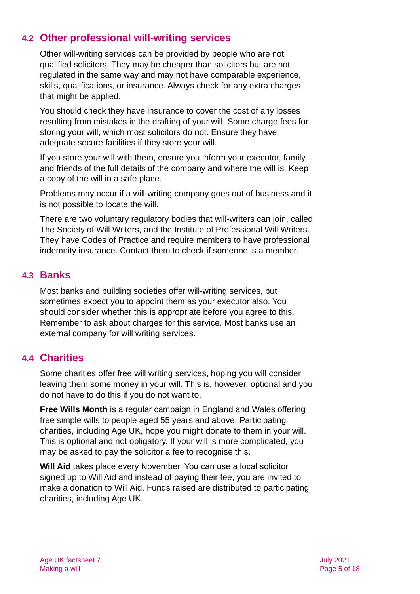# **4.2 Other professional will-writing services**

Other will-writing services can be provided by people who are not qualified solicitors. They may be cheaper than solicitors but are not regulated in the same way and may not have comparable experience, skills, qualifications, or insurance. Always check for any extra charges that might be applied.

You should check they have insurance to cover the cost of any losses resulting from mistakes in the drafting of your will. Some charge fees for storing your will, which most solicitors do not. Ensure they have adequate secure facilities if they store your will.

If you store your will with them, ensure you inform your executor, family and friends of the full details of the company and where the will is. Keep a copy of the will in a safe place.

Problems may occur if a will-writing company goes out of business and it is not possible to locate the will.

There are two voluntary regulatory bodies that will-writers can join, called [The Society of Will Writers,](https://www.willwriters.com/) and the [Institute of Professional Will Writers.](https://www.ipw.org.uk/) They have Codes of Practice and require members to have professional indemnity insurance. Contact them to check if someone is a member.

### **4.3 Banks**

Most banks and building societies offer will-writing services, but sometimes expect you to appoint them as your executor also. You should consider whether this is appropriate before you agree to this. Remember to ask about charges for this service. Most banks use an external company for will writing services.

### **4.4 Charities**

Some charities offer free will writing services, hoping you will consider leaving them some money in your will. This is, however, optional and you do not have to do this if you do not want to.

**[Free Wills Month](https://freewillsmonth.org.uk/)** is a regular campaign in England and Wales offering free simple wills to people aged 55 years and above. Participating charities, including Age UK, hope you might donate to them in your will. This is optional and not obligatory. If your will is more complicated, you may be asked to pay the solicitor a fee to recognise this.

**[Will Aid](http://www.willaid.org.uk/)** takes place every November. You can use a local solicitor signed up to Will Aid and instead of paying their fee, you are invited to make a donation to Will [Aid.](https://www.willaid.org.uk/) Funds raised are distributed to participating charities, including Age UK.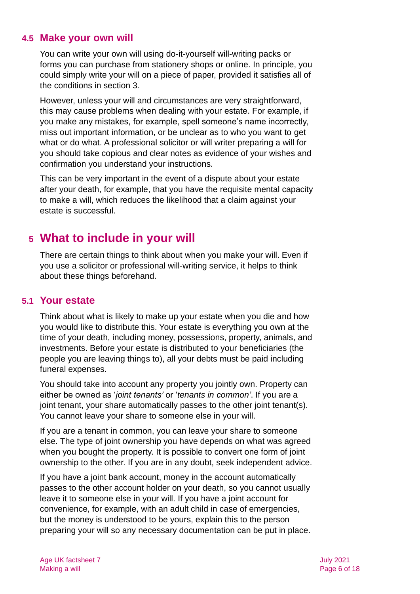### **4.5 Make your own will**

You can write your own will using do-it-yourself will-writing packs or forms you can purchase from stationery shops or online. In principle, you could simply write your will on a piece of paper, provided it satisfies all of the conditions in [section 3.](#page-3-0)

However, unless your will and circumstances are very straightforward, this may cause problems when dealing with your estate. For example, if you make any mistakes, for example, spell someone's name incorrectly, miss out important information, or be unclear as to who you want to get what or do what. A professional solicitor or will writer preparing a will for you should take copious and clear notes as evidence of your wishes and confirmation you understand your instructions.

This can be very important in the event of a dispute about your estate after your death, for example, that you have the requisite mental capacity to make a will, which reduces the likelihood that a claim against your estate is successful.

# <span id="page-5-0"></span>**5 What to include in your will**

There are certain things to think about when you make your will. Even if you use a solicitor or professional will-writing service, it helps to think about these things beforehand.

### **5.1 Your estate**

Think about what is likely to make up your estate when you die and how you would like to distribute this. Your estate is everything you own at the time of your death, including money, possessions, property, animals, and investments. Before your estate is distributed to your beneficiaries (the people you are leaving things to), all your debts must be paid including funeral expenses.

You should take into account any property you jointly own. Property can either be owned as '*joint tenants'* or '*tenants in common'*. If you are a joint tenant, your share automatically passes to the other joint tenant(s). You cannot leave your share to someone else in your will.

If you are a tenant in common, you can leave your share to someone else. The type of joint ownership you have depends on what was agreed when you bought the property. It is possible to convert one form of joint ownership to the other. If you are in any doubt, seek independent advice.

If you have a joint bank account, money in the account automatically passes to the other account holder on your death, so you cannot usually leave it to someone else in your will. If you have a joint account for convenience, for example, with an adult child in case of emergencies, but the money is understood to be yours, explain this to the person preparing your will so any necessary documentation can be put in place.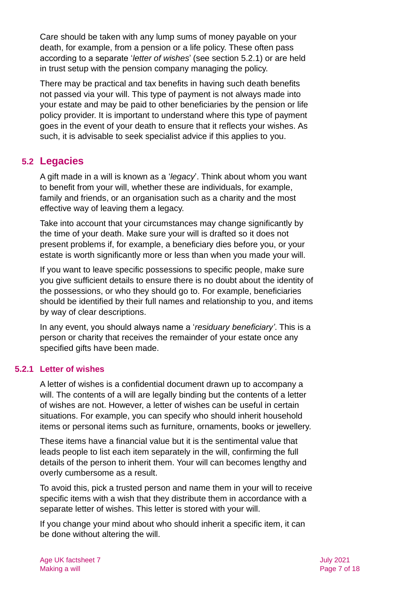Care should be taken with any lump sums of money payable on your death, for example, from a pension or a life policy. These often pass according to a separate '*letter of wishes*' (see [section 5.2.1\)](#page-6-0) or are held in trust setup with the pension company managing the policy.

There may be practical and tax benefits in having such death benefits not passed via your will. This type of payment is not always made into your estate and may be paid to other beneficiaries by the pension or life policy provider. It is important to understand where this type of payment goes in the event of your death to ensure that it reflects your wishes. As such, it is advisable to seek specialist advice if this applies to you.

# **5.2 Legacies**

A gift made in a will is known as a '*legacy*'. Think about whom you want to benefit from your will, whether these are individuals, for example, family and friends, or an organisation such as a charity and the most effective way of leaving them a legacy.

Take into account that your circumstances may change significantly by the time of your death. Make sure your will is drafted so it does not present problems if, for example, a beneficiary dies before you, or your estate is worth significantly more or less than when you made your will.

If you want to leave specific possessions to specific people, make sure you give sufficient details to ensure there is no doubt about the identity of the possessions, or who they should go to. For example, beneficiaries should be identified by their full names and relationship to you, and items by way of clear descriptions.

In any event, you should always name a '*residuary beneficiary'*. This is a person or charity that receives the remainder of your estate once any specified gifts have been made.

### <span id="page-6-0"></span>**5.2.1 Letter of wishes**

A letter of wishes is a confidential document drawn up to accompany a will. The contents of a will are legally binding but the contents of a letter of wishes are not. However, a letter of wishes can be useful in certain situations. For example, you can specify who should inherit household items or personal items such as furniture, ornaments, books or jewellery.

These items have a financial value but it is the sentimental value that leads people to list each item separately in the will, confirming the full details of the person to inherit them. Your will can becomes lengthy and overly cumbersome as a result.

To avoid this, pick a trusted person and name them in your will to receive specific items with a wish that they distribute them in accordance with a separate letter of wishes. This letter is stored with your will.

If you change your mind about who should inherit a specific item, it can be done without altering the will.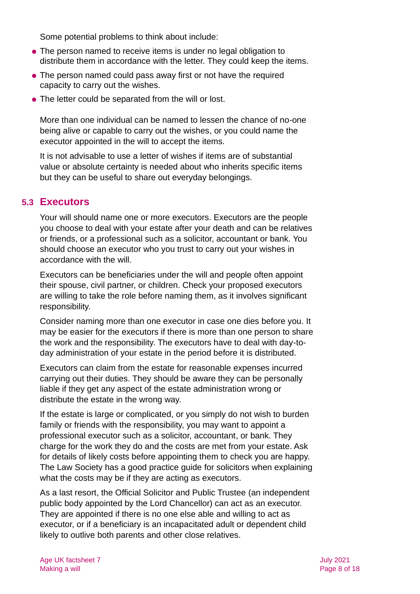Some potential problems to think about include:

- The person named to receive items is under no legal obligation to distribute them in accordance with the letter. They could keep the items.
- The person named could pass away first or not have the required capacity to carry out the wishes.
- ⚫ The letter could be separated from the will or lost.

More than one individual can be named to lessen the chance of no-one being alive or capable to carry out the wishes, or you could name the executor appointed in the will to accept the items.

It is not advisable to use a letter of wishes if items are of substantial value or absolute certainty is needed about who inherits specific items but they can be useful to share out everyday belongings.

### **5.3 Executors**

Your will should name one or more executors. Executors are the people you choose to deal with your estate after your death and can be relatives or friends, or a professional such as a solicitor, accountant or bank. You should choose an executor who you trust to carry out your wishes in accordance with the will.

Executors can be beneficiaries under the will and people often appoint their spouse, civil partner, or children. Check your proposed executors are willing to take the role before naming them, as it involves significant responsibility.

Consider naming more than one executor in case one dies before you. It may be easier for the executors if there is more than one person to share the work and the responsibility. The executors have to deal with day-today administration of your estate in the period before it is distributed.

Executors can claim from the estate for reasonable expenses incurred carrying out their duties. They should be aware they can be personally liable if they get any aspect of the estate administration wrong or distribute the estate in the wrong way.

If the estate is large or complicated, or you simply do not wish to burden family or friends with the responsibility, you may want to appoint a professional executor such as a solicitor, accountant, or bank. They charge for the work they do and the costs are met from your estate. Ask for details of likely costs before appointing them to check you are happy. The Law Society has a good practice guide for solicitors when explaining what the costs may be if they are acting as executors.

As a last resort, the Official Solicitor and Public Trustee (an independent public body appointed by the Lord Chancellor) can act as an executor. They are appointed if there is no one else able and willing to act as executor, or if a beneficiary is an incapacitated adult or dependent child likely to outlive both parents and other close relatives.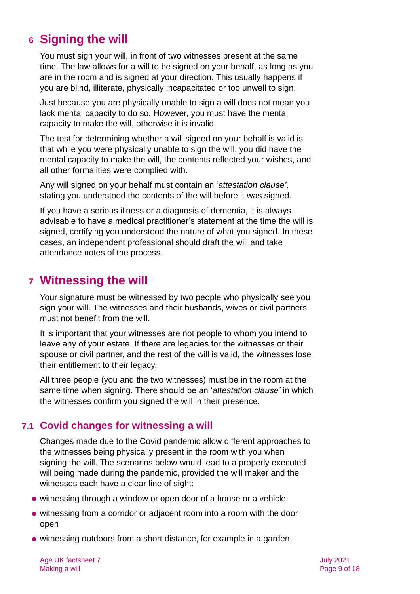# <span id="page-8-1"></span>**6 Signing the will**

You must sign your will, in front of two witnesses present at the same time. The law allows for a will to be signed on your behalf, as long as you are in the room and is signed at your direction. This usually happens if you are blind, illiterate, physically incapacitated or too unwell to sign.

Just because you are physically unable to sign a will does not mean you lack mental capacity to do so. However, you must have the mental capacity to make the will, otherwise it is invalid.

The test for determining whether a will signed on your behalf is valid is that while you were physically unable to sign the will, you did have the mental capacity to make the will, the contents reflected your wishes, and all other formalities were complied with.

Any will signed on your behalf must contain an '*attestation clause'*, stating you understood the contents of the will before it was signed.

If you have a serious illness or a diagnosis of dementia, it is always advisable to have a medical practitioner's statement at the time the will is signed, certifying you understood the nature of what you signed. In these cases, an independent professional should draft the will and take attendance notes of the process.

# <span id="page-8-0"></span>**7 Witnessing the will**

Your signature must be witnessed by two people who physically see you sign your will. The witnesses and their husbands, wives or civil partners must not benefit from the will.

It is important that your witnesses are not people to whom you intend to leave any of your estate. If there are legacies for the witnesses or their spouse or civil partner, and the rest of the will is valid, the witnesses lose their entitlement to their legacy.

All three people (you and the two witnesses) must be in the room at the same time when signing. There should be an '*attestation clause'* in which the witnesses confirm you signed the will in their presence.

# **7.1 Covid changes for witnessing a will**

Changes made due to the Covid pandemic allow different approaches to the witnesses being physically present in the room with you when signing the will. The scenarios below would lead to a properly executed will being made during the pandemic, provided the will maker and the witnesses each have a clear line of sight:

- ⚫ witnessing through a window or open door of a house or a vehicle
- ⚫ witnessing from a corridor or adjacent room into a room with the door open
- ⚫ witnessing outdoors from a short distance, for example in a garden.

Age UK factsheet 7 July 2021 Making a will not contact the contact of the contact of the contact of the contact of the Page 9 of 18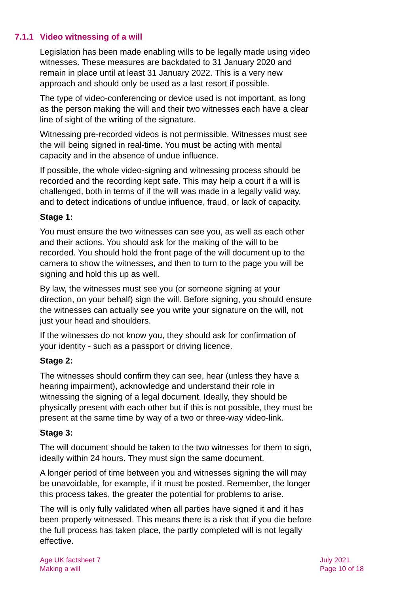### **7.1.1 Video witnessing of a will**

Legislation has been made enabling wills to be legally made using video witnesses. These measures are backdated to 31 January 2020 and remain in place until at least 31 January 2022. This is a very new approach and should only be used as a last resort if possible.

The type of video-conferencing or device used is not important, as long as the person making the will and their two witnesses each have a clear line of sight of the writing of the signature.

Witnessing pre-recorded videos is not permissible. Witnesses must see the will being signed in real-time. You must be acting with mental capacity and in the absence of undue influence.

If possible, the whole video-signing and witnessing process should be recorded and the recording kept safe. This may help a court if a will is challenged, both in terms of if the will was made in a legally valid way, and to detect indications of undue influence, fraud, or lack of capacity.

#### **Stage 1:**

You must ensure the two witnesses can see you, as well as each other and their actions. You should ask for the making of the will to be recorded. You should hold the front page of the will document up to the camera to show the witnesses, and then to turn to the page you will be signing and hold this up as well.

By law, the witnesses must see you (or someone signing at your direction, on your behalf) sign the will. Before signing, you should ensure the witnesses can actually see you write your signature on the will, not just your head and shoulders.

If the witnesses do not know you, they should ask for confirmation of your identity - such as a passport or driving licence.

### **Stage 2:**

The witnesses should confirm they can see, hear (unless they have a hearing impairment), acknowledge and understand their role in witnessing the signing of a legal document. Ideally, they should be physically present with each other but if this is not possible, they must be present at the same time by way of a two or three-way video-link.

### **Stage 3:**

The will document should be taken to the two witnesses for them to sign, ideally within 24 hours. They must sign the same document.

A longer period of time between you and witnesses signing the will may be unavoidable, for example, if it must be posted. Remember, the longer this process takes, the greater the potential for problems to arise.

The will is only fully validated when all parties have signed it and it has been properly witnessed. This means there is a risk that if you die before the full process has taken place, the partly completed will is not legally effective.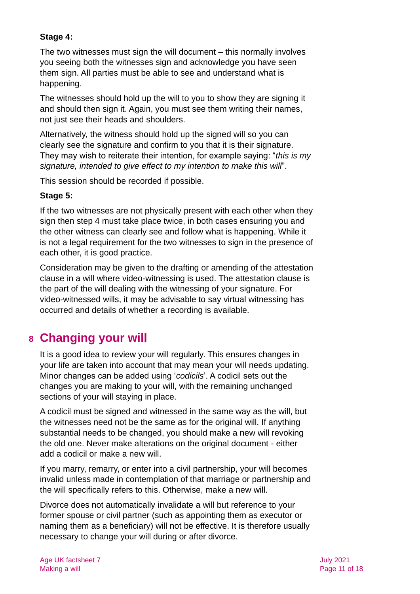### **Stage 4:**

The two witnesses must sign the will document – this normally involves you seeing both the witnesses sign and acknowledge you have seen them sign. All parties must be able to see and understand what is happening.

The witnesses should hold up the will to you to show they are signing it and should then sign it. Again, you must see them writing their names, not just see their heads and shoulders.

Alternatively, the witness should hold up the signed will so you can clearly see the signature and confirm to you that it is their signature. They may wish to reiterate their intention, for example saying: "*this is my signature, intended to give effect to my intention to make this will*".

This session should be recorded if possible.

### **Stage 5:**

If the two witnesses are not physically present with each other when they sign then step 4 must take place twice, in both cases ensuring you and the other witness can clearly see and follow what is happening. While it is not a legal requirement for the two witnesses to sign in the presence of each other, it is good practice.

Consideration may be given to the drafting or amending of the attestation clause in a will where video-witnessing is used. The attestation clause is the part of the will dealing with the witnessing of your signature. For video-witnessed wills, it may be advisable to say virtual witnessing has occurred and details of whether a recording is available.

# <span id="page-10-0"></span>**8 Changing your will**

It is a good idea to review your will regularly. This ensures changes in your life are taken into account that may mean your will needs updating. Minor changes can be added using '*codicils*'. A codicil sets out the changes you are making to your will, with the remaining unchanged sections of your will staying in place.

A codicil must be signed and witnessed in the same way as the will, but the witnesses need not be the same as for the original will. If anything substantial needs to be changed, you should make a new will revoking the old one. Never make alterations on the original document - either add a codicil or make a new will.

If you marry, remarry, or enter into a civil partnership, your will becomes invalid unless made in contemplation of that marriage or partnership and the will specifically refers to this. Otherwise, make a new will.

Divorce does not automatically invalidate a will but reference to your former spouse or civil partner (such as appointing them as executor or naming them as a beneficiary) will not be effective. It is therefore usually necessary to change your will during or after divorce.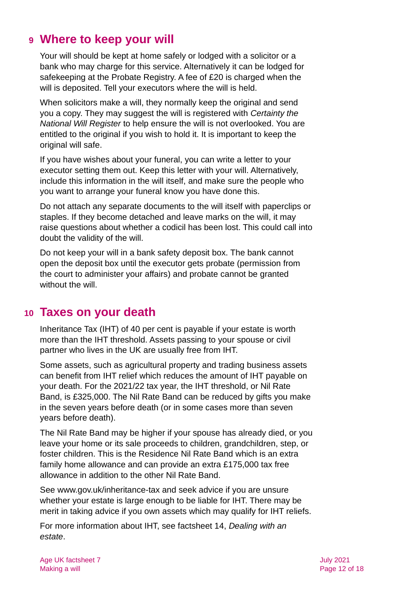# <span id="page-11-0"></span>**9 Where to keep your will**

Your will should be kept at home safely or lodged with a solicitor or a bank who may charge for this service. Alternatively it can be lodged for safekeeping at the Probate Registry. A fee of £20 is charged when the will is deposited. Tell your executors where the will is held.

When solicitors make a will, they normally keep the original and send you a copy. They may suggest the will is registered with *[Certainty the](https://www.nationalwillregister.co.uk/)  [National Will Register](https://www.nationalwillregister.co.uk/)* to help ensure the will is not overlooked. You are entitled to the original if you wish to hold it. It is important to keep the original will safe.

If you have wishes about your funeral, you can write a letter to your executor setting them out. Keep this letter with your will. Alternatively, include this information in the will itself, and make sure the people who you want to arrange your funeral know you have done this.

Do not attach any separate documents to the will itself with paperclips or staples. If they become detached and leave marks on the will, it may raise questions about whether a codicil has been lost. This could call into doubt the validity of the will.

Do not keep your will in a bank safety deposit box. The bank cannot open the deposit box until the executor gets probate (permission from the court to administer your affairs) and probate cannot be granted without the will.

# <span id="page-11-1"></span>**10 Taxes on your death**

Inheritance Tax (IHT) of 40 per cent is payable if your estate is worth more than the IHT threshold. Assets passing to your spouse or civil partner who lives in the UK are usually free from IHT.

Some assets, such as agricultural property and trading business assets can benefit from IHT relief which reduces the amount of IHT payable on your death. For the 2021/22 tax year, the IHT threshold, or Nil Rate Band, is £325,000. The Nil Rate Band can be reduced by gifts you make in the seven years before death (or in some cases more than seven years before death).

The Nil Rate Band may be higher if your spouse has already died, or you leave your home or its sale proceeds to children, grandchildren, step, or foster children. This is the Residence Nil Rate Band which is an extra family home allowance and can provide an extra £175,000 tax free allowance in addition to the other Nil Rate Band.

See [www.gov.uk/inheritance-tax](http://www.gov.uk/inheritance-tax) and seek advice if you are unsure whether your estate is large enough to be liable for IHT. There may be merit in taking advice if you own assets which may qualify for IHT reliefs.

For more information about IHT, see factsheet 14, *[Dealing with an](https://www.ageuk.org.uk/globalassets/age-uk/documents/factsheets/fs14_dealing_with_an_estate_fcs.pdf?dtrk=true)  [estate](https://www.ageuk.org.uk/globalassets/age-uk/documents/factsheets/fs14_dealing_with_an_estate_fcs.pdf?dtrk=true)*.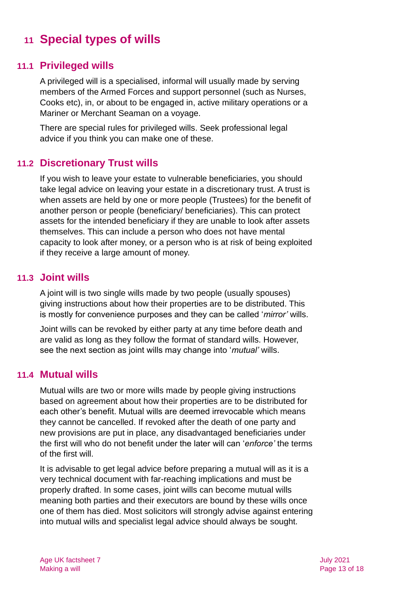# <span id="page-12-0"></span>**11 Special types of wills**

### **11.1 Privileged wills**

A privileged will is a specialised, informal will usually made by serving members of the Armed Forces and support personnel (such as Nurses, Cooks etc), in, or about to be engaged in, active military operations or a Mariner or Merchant Seaman on a voyage.

There are special rules for privileged wills. Seek professional legal advice if you think you can make one of these.

# **11.2 Discretionary Trust wills**

If you wish to leave your estate to vulnerable beneficiaries, you should take legal advice on leaving your estate in a discretionary trust. A trust is when assets are held by one or more people (Trustees) for the benefit of another person or people (beneficiary/ beneficiaries). This can protect assets for the intended beneficiary if they are unable to look after assets themselves. This can include a person who does not have mental capacity to look after money, or a person who is at risk of being exploited if they receive a large amount of money.

### **11.3 Joint wills**

A joint will is two single wills made by two people (usually spouses) giving instructions about how their properties are to be distributed. This is mostly for convenience purposes and they can be called '*mirror'* wills.

Joint wills can be revoked by either party at any time before death and are valid as long as they follow the format of standard wills. However, see the next section as joint wills may change into '*mutual'* wills.

# **11.4 Mutual wills**

Mutual wills are two or more wills made by people giving instructions based on agreement about how their properties are to be distributed for each other's benefit. Mutual wills are deemed irrevocable which means they cannot be cancelled. If revoked after the death of one party and new provisions are put in place, any disadvantaged beneficiaries under the first will who do not benefit under the later will can '*enforce'* the terms of the first will.

It is advisable to get legal advice before preparing a mutual will as it is a very technical document with far-reaching implications and must be properly drafted. In some cases, joint wills can become mutual wills meaning both parties and their executors are bound by these wills once one of them has died. Most solicitors will strongly advise against entering into mutual wills and specialist legal advice should always be sought.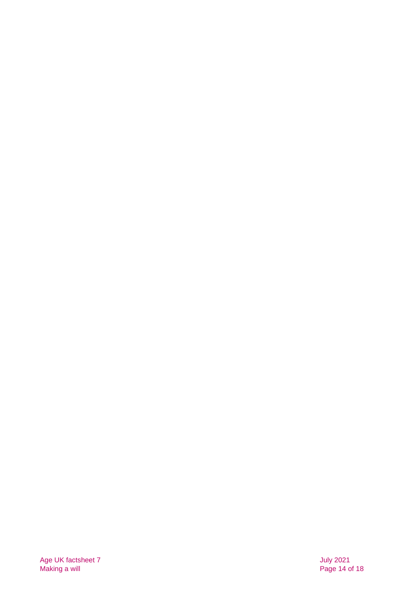Age UK factsheet Making a will Page 14 of 18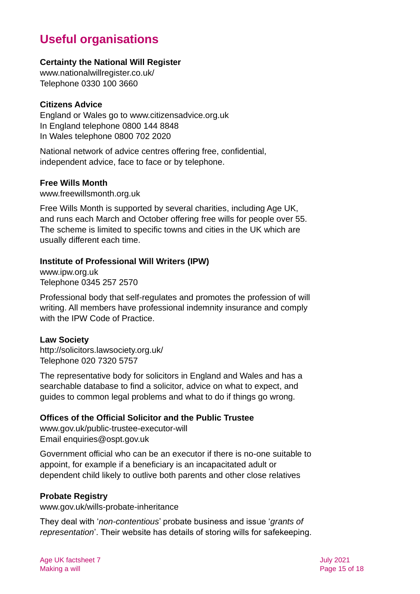# **Useful organisations**

#### <span id="page-14-0"></span>**Certainty the National Will Register**

[www.nationalwillregister.co.uk/](http://www.nationalwillregister.co.uk/) Telephone 0330 100 3660

#### **Citizens Advice**

England or Wales go to [www.citizensadvice.org.uk](http://www.citizensadvice.org.uk/) In England telephone 0800 144 8848 In Wales telephone 0800 702 2020

National network of advice centres offering free, confidential, independent advice, face to face or by telephone.

#### **Free Wills Month**

[www.freewillsmonth.org.uk](http://www.freewillsmonth.org.uk/)

Free Wills Month is supported by several charities, including Age UK, and runs each March and October offering free wills for people over 55. The scheme is limited to specific towns and cities in the UK which are usually different each time.

### **Institute of Professional Will Writers (IPW)**

[www.ipw.org.uk](http://www.ipw.org.uk/) Telephone 0345 257 2570

Professional body that self-regulates and promotes the profession of will writing. All members have professional indemnity insurance and comply with the IPW Code of Practice.

### **Law Society**

<http://solicitors.lawsociety.org.uk/> Telephone 020 7320 5757

The representative body for solicitors in England and Wales and has a searchable database to find a solicitor, advice on what to expect, and guides to common legal problems and what to do if things go wrong.

### **Offices of the Official Solicitor and the Public Trustee**

[www.gov.uk/public-trustee-executor-will](http://www.gov.uk/public-trustee-executor-will) Email [enquiries@ospt.gov.uk](mailto:enquiries@ospt.gov.uk)

Government official who can be an executor if there is no-one suitable to appoint, for example if a beneficiary is an incapacitated adult or dependent child likely to outlive both parents and other close relatives

#### **Probate Registry**

[www.gov.uk/wills-probate-inheritance](http://www.gov.uk/wills-probate-inheritance)

They deal with '*non-contentious*' probate business and issue '*grants of representation*'. Their website has details of storing wills for safekeeping.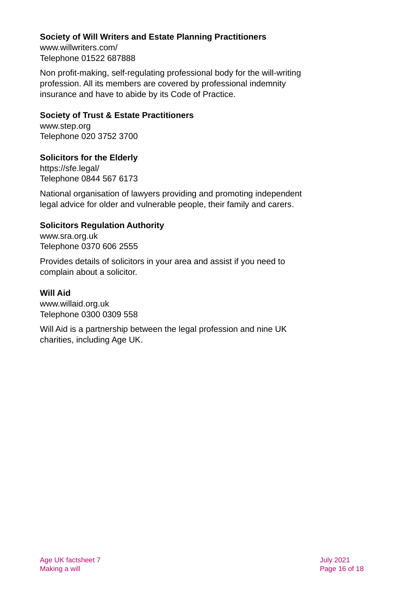### **Society of Will Writers and Estate Planning Practitioners**

[www.willwriters.com/](http://www.willwriters.com/) Telephone 01522 687888

Non profit-making, self-regulating professional body for the will-writing profession. All its members are covered by professional indemnity insurance and have to abide by its Code of Practice.

### **Society of Trust & Estate Practitioners**

[www.step.org](http://www.step.org/) Telephone 020 3752 3700

### **Solicitors for the Elderly**

<https://sfe.legal/> Telephone 0844 567 6173

National organisation of lawyers providing and promoting independent legal advice for older and vulnerable people, their family and carers.

### **Solicitors Regulation Authority**

[www.sra.org.uk](http://www.sra.org.uk/) Telephone 0370 606 2555

Provides details of solicitors in your area and assist if you need to complain about a solicitor.

### **Will Aid**

[www.willaid.org.uk](http://www.willaid.org.uk/) Telephone 0300 0309 558

Will Aid is a partnership between the legal profession and nine UK charities, including Age UK.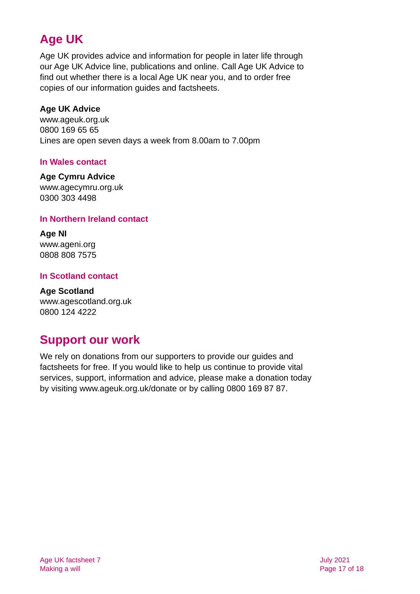# **Age UK**

Age UK provides advice and information for people in later life through our Age UK Advice line, publications and online. Call Age UK Advice to find out whether there is a local Age UK near you, and to order free copies of our information guides and factsheets.

### <span id="page-16-2"></span>**Age UK Advice**

[www.ageuk.org.uk](http://www.ageuk.org.uk/) 0800 169 65 65 Lines are open seven days a week from 8.00am to 7.00pm

#### <span id="page-16-3"></span>**In Wales contact**

#### **Age Cymru Advice**

[www.agecymru.org.uk](http://www.agecymru.org.uk/) 0300 303 4498

### <span id="page-16-1"></span>**In Northern Ireland contact**

**Age NI** [www.ageni.org](http://www.ageni.org/) 0808 808 7575

#### <span id="page-16-0"></span>**In Scotland contact**

<span id="page-16-4"></span>**Age Scotland** [www.agescotland.org.uk](http://www.agescotland.org.uk/) 0800 124 4222

# **Support our work**

We rely on donations from our supporters to provide our guides and factsheets for free. If you would like to help us continue to provide vital services, support, information and advice, please make a donation today by visiting [www.ageuk.org.uk/donate](http://www.ageuk.org.uk/donate) or by calling 0800 169 87 87.